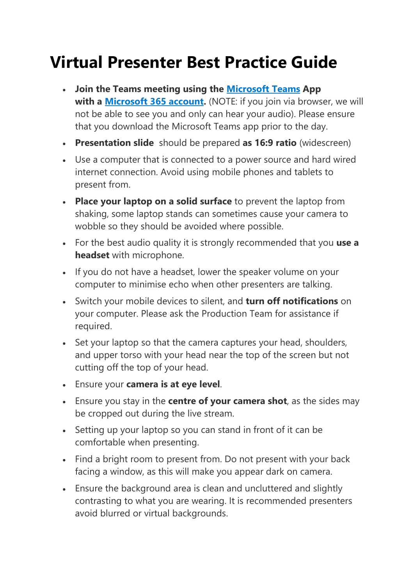## **Virtual Presenter Best Practice Guide**

- **Join the Teams meeting using the [Microsoft Teams](https://www.microsoft.com/en-au/microsoft-teams/download-app) App with a [Microsoft 365 account.](https://setup.office.com/)** (NOTE: if you join via browser, we will not be able to see you and only can hear your audio). Please ensure that you download the Microsoft Teams app prior to the day.
- **Presentation slide** should be prepared **as 16:9 ratio** (widescreen)
- Use a computer that is connected to a power source and hard wired internet connection. Avoid using mobile phones and tablets to present from.
- **Place your laptop on a solid surface** to prevent the laptop from shaking, some laptop stands can sometimes cause your camera to wobble so they should be avoided where possible.
- For the best audio quality it is strongly recommended that you **use a headset** with microphone.
- If you do not have a headset, lower the speaker volume on your computer to minimise echo when other presenters are talking.
- Switch your mobile devices to silent, and **turn off notifications** on your computer. Please ask the Production Team for assistance if required.
- Set your laptop so that the camera captures your head, shoulders, and upper torso with your head near the top of the screen but not cutting off the top of your head.
- Ensure your **camera is at eye level**.
- Ensure you stay in the **centre of your camera shot**, as the sides may be cropped out during the live stream.
- Setting up your laptop so you can stand in front of it can be comfortable when presenting.
- Find a bright room to present from. Do not present with your back facing a window, as this will make you appear dark on camera.
- Ensure the background area is clean and uncluttered and slightly contrasting to what you are wearing. It is recommended presenters avoid blurred or virtual backgrounds.